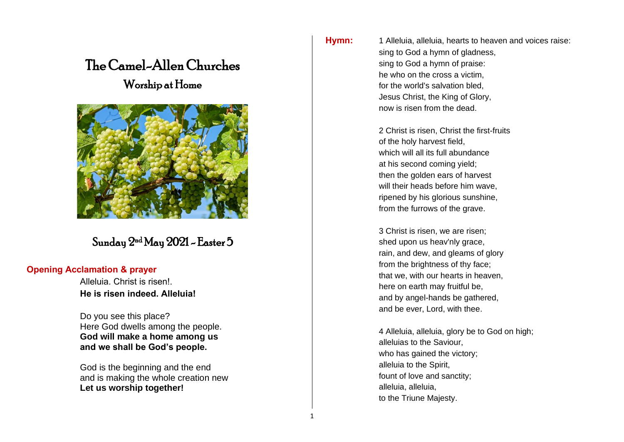# The Camel-Allen Churches Worship at Home



## Sunday  $2^{\rm nd}$ May 2021 – Easter 5

#### **Opening Acclamation & prayer**

Alleluia. Christ is risen!. **He is risen indeed. Alleluia!**

Do you see this place? Here God dwells among the people. **God will make a home among us and we shall be God's people.**

God is the beginning and the end and is making the whole creation new **Let us worship together!**

**Hymn:** 1 Alleluia, alleluia, hearts to heaven and voices raise: sing to God a hymn of gladness, sing to God a hymn of praise: he who on the cross a victim, for the world's salvation bled, Jesus Christ, the King of Glory, now is risen from the dead.

> 2 Christ is risen, Christ the first-fruits of the holy harvest field, which will all its full abundance at his second coming yield; then the golden ears of harvest will their heads before him wave, ripened by his glorious sunshine, from the furrows of the grave.

3 Christ is risen, we are risen; shed upon us heav'nly grace, rain, and dew, and gleams of glory from the brightness of thy face; that we, with our hearts in heaven, here on earth may fruitful be, and by angel-hands be gathered, and be ever, Lord, with thee.

4 Alleluia, alleluia, glory be to God on high; alleluias to the Saviour, who has gained the victory; alleluia to the Spirit, fount of love and sanctity; alleluia, alleluia, to the Triune Majesty.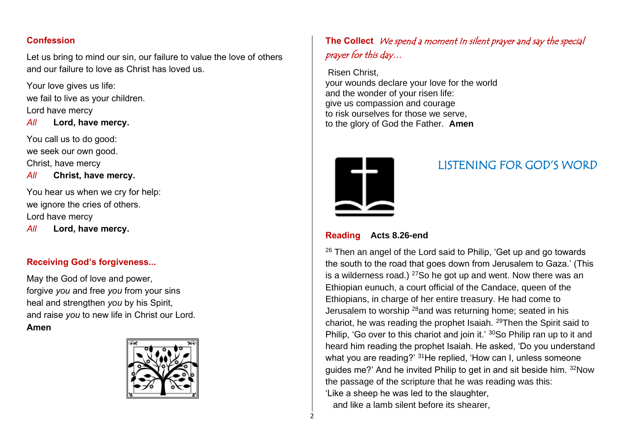### **Confession**

Let us bring to mind our sin, our failure to value the love of others and our failure to love as Christ has loved us.

Your love gives us life: we fail to live as your children. Lord have mercy

*All* **Lord, have mercy.**

You call us to do good: we seek our own good. Christ, have mercy

*All* **Christ, have mercy.**

You hear us when we cry for help: we ignore the cries of others. Lord have mercy

*All* **Lord, have mercy.**

### **Receiving God's forgiveness...**

May the God of love and power, forgive *you* and free *you* from your sins heal and strengthen *you* by his Spirit, and raise *you* to new life in Christ our Lord. **Amen**



## **The Collect** We spend a moment In silent prayer and say the special prayer for this day…

Risen Christ, your wounds declare your love for the world and the wonder of your risen life: give us compassion and courage to risk ourselves for those we serve, to the glory of God the Father. **Amen**



## LISTENING FOR GOD'S WORD

#### **Reading Acts 8.26-end**

 $26$  Then an angel of the Lord said to Philip. 'Get up and go towards the south to the road that goes down from Jerusalem to Gaza.' (This is a wilderness road.)  $27$ So he got up and went. Now there was an Ethiopian eunuch, a court official of the Candace, queen of the Ethiopians, in charge of her entire treasury. He had come to Jerusalem to worship <sup>28</sup>and was returning home; seated in his chariot, he was reading the prophet Isaiah. <sup>29</sup>Then the Spirit said to Philip, 'Go over to this chariot and join it.' 30So Philip ran up to it and heard him reading the prophet Isaiah. He asked, 'Do you understand what you are reading?' <sup>31</sup>He replied, 'How can I, unless someone guides me?' And he invited Philip to get in and sit beside him. <sup>32</sup>Now the passage of the scripture that he was reading was this: 'Like a sheep he was led to the slaughter, and like a lamb silent before its shearer,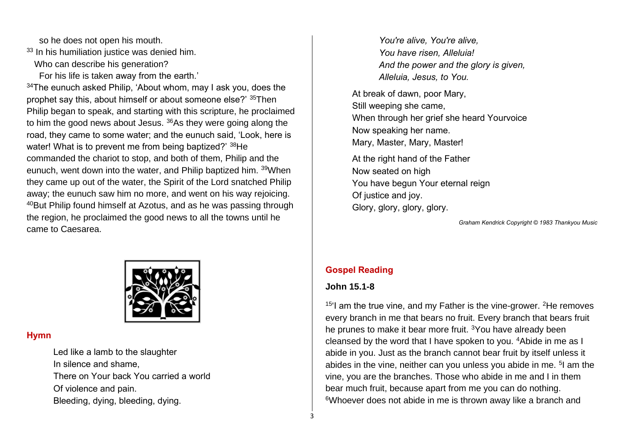so he does not open his mouth.

33 In his humiliation justice was denied him.

Who can describe his generation?

For his life is taken away from the earth.'

<sup>34</sup>The eunuch asked Philip, 'About whom, may I ask you, does the prophet say this, about himself or about someone else?' <sup>35</sup>Then Philip began to speak, and starting with this scripture, he proclaimed to him the good news about Jesus. <sup>36</sup>As they were going along the road, they came to some water; and the eunuch said, 'Look, here is water! What is to prevent me from being baptized?' 38He commanded the chariot to stop, and both of them, Philip and the eunuch, went down into the water, and Philip baptized him. <sup>39</sup>When they came up out of the water, the Spirit of the Lord snatched Philip away; the eunuch saw him no more, and went on his way rejoicing. <sup>40</sup>But Philip found himself at Azotus, and as he was passing through the region, he proclaimed the good news to all the towns until he came to Caesarea.



#### **Hymn**

Led like a lamb to the slaughter In silence and shame, There on Your back You carried a world Of violence and pain. Bleeding, dying, bleeding, dying.

*You're alive, You're alive, You have risen, Alleluia! And the power and the glory is given, Alleluia, Jesus, to You.*

At break of dawn, poor Mary, Still weeping she came, When through her grief she heard Yourvoice Now speaking her name. Mary, Master, Mary, Master!

At the right hand of the Father Now seated on high You have begun Your eternal reign Of justice and joy. Glory, glory, glory, glory.

*Graham Kendrick Copyright © 1983 Thankyou Music*

#### **Gospel Reading**

#### **John 15.1-8**

 $15'$ I am the true vine, and my Father is the vine-grower. <sup>2</sup>He removes every branch in me that bears no fruit. Every branch that bears fruit he prunes to make it bear more fruit. <sup>3</sup>You have already been cleansed by the word that I have spoken to you. <sup>4</sup>Abide in me as I abide in you. Just as the branch cannot bear fruit by itself unless it abides in the vine, neither can you unless you abide in me. <sup>5</sup>I am the vine, you are the branches. Those who abide in me and I in them bear much fruit, because apart from me you can do nothing. 6Whoever does not abide in me is thrown away like a branch and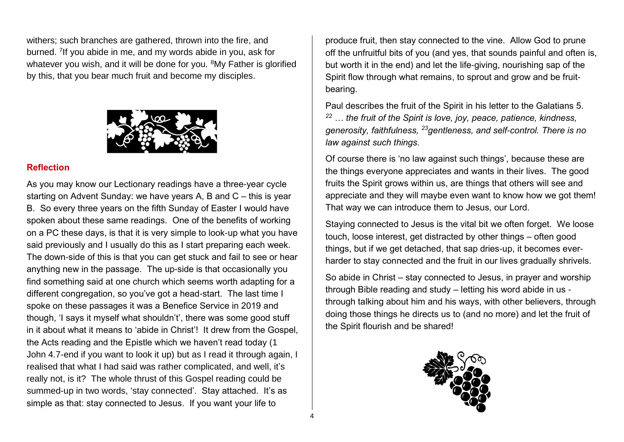withers; such branches are gathered, thrown into the fire, and burned. <sup>7</sup> If you abide in me, and my words abide in you, ask for whatever you wish, and it will be done for you. <sup>8</sup>My Father is glorified by this, that you bear much fruit and become my disciples.



#### **Reflection**

As you may know our Lectionary readings have a three-year cycle starting on Advent Sunday: we have years A, B and C – this is year B. So every three years on the fifth Sunday of Easter I would have spoken about these same readings. One of the benefits of working on a PC these days, is that it is very simple to look-up what you have said previously and I usually do this as I start preparing each week. The down-side of this is that you can get stuck and fail to see or hear anything new in the passage. The up-side is that occasionally you find something said at one church which seems worth adapting for a different congregation, so you've got a head-start. The last time I spoke on these passages it was a Benefice Service in 2019 and though, 'I says it myself what shouldn't', there was some good stuff in it about what it means to 'abide in Christ'! It drew from the Gospel, the Acts reading and the Epistle which we haven't read today (1 John 4.7-end if you want to look it up) but as I read it through again, I realised that what I had said was rather complicated, and well, it's really not, is it? The whole thrust of this Gospel reading could be summed-up in two words, 'stay connected'. Stay attached. It's as simple as that: stay connected to Jesus. If you want your life to

produce fruit, then stay connected to the vine. Allow God to prune off the unfruitful bits of you (and yes, that sounds painful and often is, but worth it in the end) and let the life-giving, nourishing sap of the Spirit flow through what remains, to sprout and grow and be fruitbearing.

Paul describes the fruit of the Spirit in his letter to the Galatians 5. *<sup>22</sup> … the fruit of the Spirit is love, joy, peace, patience, kindness, generosity, faithfulness, <sup>23</sup>gentleness, and self-control. There is no law against such things.*

Of course there is 'no law against such things', because these are the things everyone appreciates and wants in their lives. The good fruits the Spirit grows within us, are things that others will see and appreciate and they will maybe even want to know how we got them! That way we can introduce them to Jesus, our Lord.

Staying connected to Jesus is the vital bit we often forget. We loose touch, loose interest, get distracted by other things – often good things, but if we get detached, that sap dries-up, it becomes everharder to stay connected and the fruit in our lives gradually shrivels.

So abide in Christ – stay connected to Jesus, in prayer and worship through Bible reading and study – letting his word abide in us through talking about him and his ways, with other believers, through doing those things he directs us to (and no more) and let the fruit of the Spirit flourish and be shared!

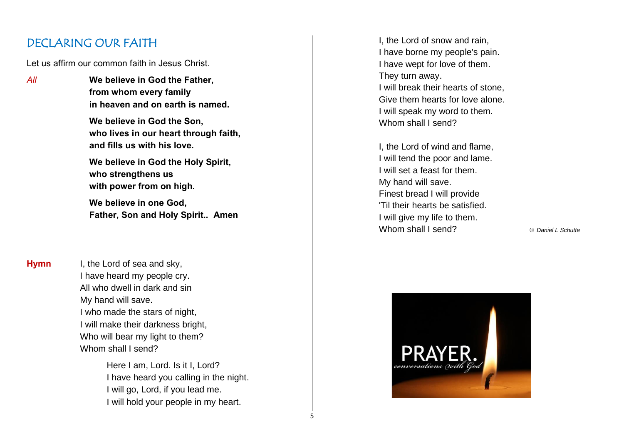## DECLARING OUR FAITH

Let us affirm our common faith in Jesus Christ.

*All* **We believe in God the Father, from whom every family in heaven and on earth is named.**

> **We believe in God the Son, who lives in our heart through faith, and fills us with his love.**

**We believe in God the Holy Spirit, who strengthens us with power from on high.**

**We believe in one God, Father, Son and Holy Spirit.. Amen**

**Hymn** I, the Lord of sea and sky, I have heard my people cry. All who dwell in dark and sin My hand will save. I who made the stars of night, I will make their darkness bright, Who will bear my light to them? Whom shall I send?

> Here I am, Lord. Is it I, Lord? I have heard you calling in the night. I will go, Lord, if you lead me. I will hold your people in my heart.

> > 5

I, the Lord of snow and rain, I have borne my people's pain. I have wept for love of them. They turn away. I will break their hearts of stone, Give them hearts for love alone. I will speak my word to them. Whom shall I send?

I, the Lord of wind and flame, I will tend the poor and lame. I will set a feast for them. My hand will save. Finest bread I will provide 'Til their hearts be satisfied. I will give my life to them. Whom shall I send? © *Daniel L Schutte*

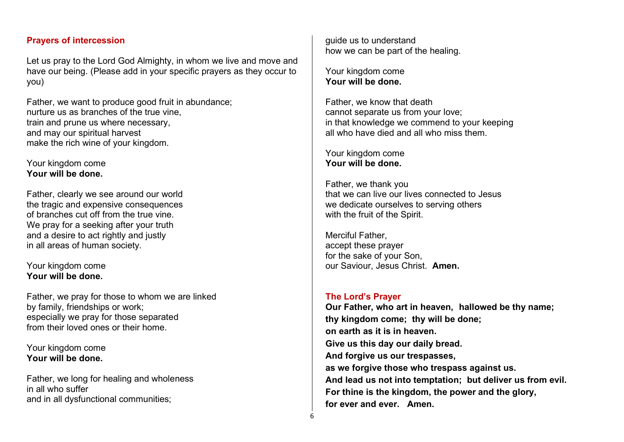#### **Prayers of intercession**

Let us pray to the Lord God Almighty, in whom we live and move and have our being. (Please add in your specific prayers as they occur to you)

Father, we want to produce good fruit in abundance; nurture us as branches of the true vine, train and prune us where necessary, and may our spiritual harvest make the rich wine of your kingdom.

Your kingdom come **Your will be done.**

Father, clearly we see around our world the tragic and expensive consequences of branches cut off from the true vine. We pray for a seeking after your truth and a desire to act rightly and justly in all areas of human society.

Your kingdom come **Your will be done.**

Father, we pray for those to whom we are linked by family, friendships or work; especially we pray for those separated from their loved ones or their home.

Your kingdom come **Your will be done.**

Father, we long for healing and wholeness in all who suffer and in all dysfunctional communities;

guide us to understand how we can be part of the healing.

Your kingdom come **Your will be done.**

Father, we know that death cannot separate us from your love; in that knowledge we commend to your keeping all who have died and all who miss them.

Your kingdom come **Your will be done.**

Father, we thank you that we can live our lives connected to Jesus we dedicate ourselves to serving others with the fruit of the Spirit.

Merciful Father, accept these prayer for the sake of your Son, our Saviour, Jesus Christ. **Amen.**

#### **The Lord's Prayer**

**Our Father, who art in heaven, hallowed be thy name; thy kingdom come; thy will be done; on earth as it is in heaven. Give us this day our daily bread. And forgive us our trespasses, as we forgive those who trespass against us. And lead us not into temptation; but deliver us from evil. For thine is the kingdom, the power and the glory, for ever and ever. Amen.**